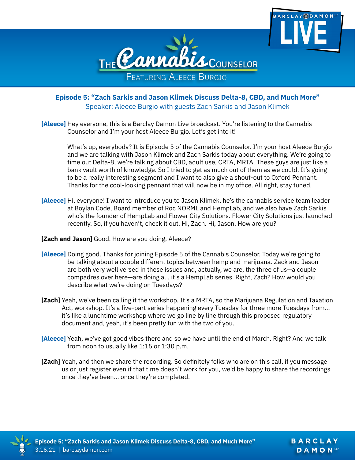



**Episode 5: "Zach Sarkis and Jason Klimek Discuss Delta-8, CBD, and Much More"** Speaker: Aleece Burgio with guests Zach Sarkis and Jason Klimek

**[Aleece]** Hey everyone, this is a Barclay Damon Live broadcast. You're listening to the Cannabis Counselor and I'm your host Aleece Burgio. Let's get into it!

What's up, everybody? It is Episode 5 of the Cannabis Counselor. I'm your host Aleece Burgio and we are talking with Jason Klimek and Zach Sarkis today about everything. We're going to time out Delta-8, we're talking about CBD, adult use, CRTA, MRTA. These guys are just like a bank vault worth of knowledge. So I tried to get as much out of them as we could. It's going to be a really interesting segment and I want to also give a shout-out to Oxford Pennant. Thanks for the cool-looking pennant that will now be in my office. All right, stay tuned.

- **[Aleece]** Hi, everyone! I want to introduce you to Jason Klimek, he's the cannabis service team leader at Boylan Code, Board member of Roc NORML and HempLab, and we also have Zach Sarkis who's the founder of HempLab and Flower City Solutions. Flower City Solutions just launched recently. So, if you haven't, check it out. Hi, Zach. Hi, Jason. How are you?
- **[Zach and Jason]** Good. How are you doing, Aleece?
- **[Aleece]** Doing good. Thanks for joining Episode 5 of the Cannabis Counselor. Today we're going to be talking about a couple different topics between hemp and marijuana. Zack and Jason are both very well versed in these issues and, actually, we are, the three of us—a couple compadres over here—are doing a... it's a HempLab series. Right, Zach? How would you describe what we're doing on Tuesdays?
- **[Zach]** Yeah, we've been calling it the workshop. It's a MRTA, so the Marijuana Regulation and Taxation Act, workshop. It's a five-part series happening every Tuesday for three more Tuesdays from... it's like a lunchtime workshop where we go line by line through this proposed regulatory document and, yeah, it's been pretty fun with the two of you.
- **[Aleece]** Yeah, we've got good vibes there and so we have until the end of March. Right? And we talk from noon to usually like 1:15 or 1:30 p.m.
- **[Zach]** Yeah, and then we share the recording. So definitely folks who are on this call, if you message us or just register even if that time doesn't work for you, we'd be happy to share the recordings once they've been... once they're completed.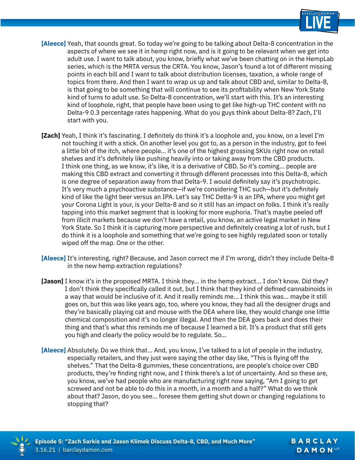

- **[Aleece]** Yeah, that sounds great. So today we're going to be talking about Delta-8 concentration in the aspects of where we see it in hemp right now, and is it going to be relevant when we get into adult use. I want to talk about, you know, briefly what we've been chatting on in the HempLab series, which is the MRTA versus the CRTA. You know, Jason's found a lot of different missing points in each bill and I want to talk about distribution licenses, taxation, a whole range of topics from there. And then I want to wrap us up and talk about CBD and, similar to Delta-8, is that going to be something that will continue to see its profitability when New York State kind of turns to adult use. So Delta-8 concentration, we'll start with this. It's an interesting kind of loophole, right, that people have been using to get like high-up THC content with no Delta-9 0.3 percentage rates happening. What do you guys think about Delta-8? Zach, I'll start with you.
- **[Zach]** Yeah, I think it's fascinating. I definitely do think it's a loophole and, you know, on a level I'm not touching it with a stick. On another level you got to, as a person in the industry, got to feel a little bit of the itch, where people... it's one of the highest grossing SKUs right now on retail shelves and it's definitely like pushing heavily into or taking away from the CBD products. I think one thing, as we know, it's like, it is a derivative of CBD. So it's coming... people are making this CBD extract and converting it through different processes into this Delta-8, which is one degree of separation away from that Delta-9. I would definitely say it's psychotropic. It's very much a psychoactive substance—if we're considering THC such—but it's definitely kind of like the light beer versus an IPA. Let's say THC Delta-9 is an IPA, where you might get your Corona Light is your, is your Delta-8 and so it still has an impact on folks. I think it's really tapping into this market segment that is looking for more euphoria. That's maybe peeled off from illicit markets because we don't have a retail, you know, an active legal market in New York State. So I think it is capturing more perspective and definitely creating a lot of rush, but I do think it is a loophole and something that we're going to see highly regulated soon or totally wiped off the map. One or the other.
- **[Aleece]** It's interesting, right? Because, and Jason correct me if I'm wrong, didn't they include Delta-8 in the new hemp extraction regulations?
- **[Jason]** I know it's in the proposed MRTA. I think they... in the hemp extract... I don't know. Did they? I don't think they specifically called it out, but I think that they kind of defined cannabinoids in a way that would be inclusive of it. And it really reminds me... I think this was... maybe it still goes on, but this was like years ago, too, where you know, they had all the designer drugs and they're basically playing cat and mouse with the DEA where like, they would change one little chemical composition and it's no longer illegal. And then the DEA goes back and does their thing and that's what this reminds me of because I learned a bit. It's a product that still gets you high and clearly the policy would be to regulate. So...
- **[Aleece]** Absolutely. Do we think that... And, you know, I've talked to a lot of people in the industry, especially retailers, and they just were saying the other day like, "This is flying off the shelves." That the Delta-8 gummies, these concentrations, are people's choice over CBD products, they're finding right now, and I think there's a lot of uncertainty. And so these are, you know, we've had people who are manufacturing right now saying, "Am I going to get screwed and not be able to do this in a month, in a month and a half?" What do we think about that? Jason, do you see... foresee them getting shut down or changing regulations to stopping that?

BARCLAY DAMON<sup>LLP</sup>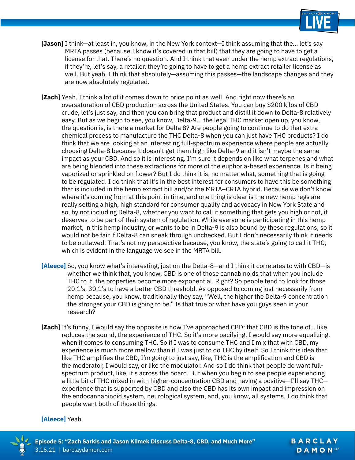

- **[Jason]** I think—at least in, you know, in the New York context—I think assuming that the... let's say MRTA passes (because I know it's covered in that bill) that they are going to have to get a license for that. There's no question. And I think that even under the hemp extract regulations, if they're, let's say, a retailer, they're going to have to get a hemp extract retailer license as well. But yeah, I think that absolutely—assuming this passes—the landscape changes and they are now absolutely regulated.
- **[Zach]** Yeah. I think a lot of it comes down to price point as well. And right now there's an oversaturation of CBD production across the United States. You can buy \$200 kilos of CBD crude, let's just say, and then you can bring that product and distill it down to Delta-8 relatively easy. But as we begin to see, you know, Delta-9... the legal THC market open up, you know, the question is, is there a market for Delta 8? Are people going to continue to do that extra chemical process to manufacture the THC Delta-8 when you can just have THC products? I do think that we are looking at an interesting full-spectrum experience where people are actually choosing Delta-8 because it doesn't get them high like Delta-9 and it isn't maybe the same impact as your CBD. And so it is interesting. I'm sure it depends on like what terpenes and what are being blended into these extractions for more of the euphoria-based experience. Is it being vaporized or sprinkled on flower? But I do think it is, no matter what, something that is going to be regulated. I do think that it's in the best interest for consumers to have this be something that is included in the hemp extract bill and/or the MRTA–CRTA hybrid. Because we don't know where it's coming from at this point in time, and one thing is clear is the new hemp regs are really setting a high, high standard for consumer quality and advocacy in New York State and so, by not including Delta-8, whether you want to call it something that gets you high or not, it deserves to be part of their system of regulation. While everyone is participating in this hemp market, in this hemp industry, or wants to be in Delta-9 is also bound by these regulations, so it would not be fair if Delta-8 can sneak through unchecked. But I don't necessarily think it needs to be outlawed. That's not my perspective because, you know, the state's going to call it THC, which is evident in the language we see in the MRTA bill.
- **[Aleece]** So, you know what's interesting, just on the Delta-8—and I think it correlates to with CBD—is whether we think that, you know, CBD is one of those cannabinoids that when you include THC to it, the properties become more exponential. Right? So people tend to look for those 20:1's, 30:1's to have a better CBD threshold. As opposed to coming just necessarily from hemp because, you know, traditionally they say, "Well, the higher the Delta-9 concentration the stronger your CBD is going to be." Is that true or what have you guys seen in your research?
- **[Zach]** It's funny, I would say the opposite is how I've approached CBD: that CBD is the tone of... like reduces the sound, the experience of THC. So it's more pacifying, I would say more equalizing, when it comes to consuming THC. So if I was to consume THC and I mix that with CBD, my experience is much more mellow than if I was just to do THC by itself. So I think this idea that like THC amplifies the CBD, I'm going to just say, like, THC is the amplification and CBD is the moderator, I would say, or like the modulator. And so I do think that people do want fullspectrum product, like, it's across the board. But when you begin to see people experiencing a little bit of THC mixed in with higher-concentration CBD and having a positive—I'll say THC experience that is supported by CBD and also the CBD has its own impact and impression on the endocannabinoid system, neurological system, and, you know, all systems. I do think that people want both of those things.

#### **[Aleece]** Yeah.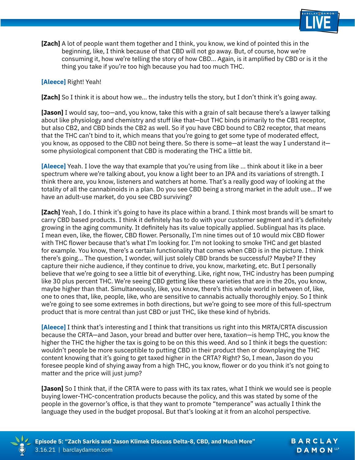

**[Zach]** A lot of people want them together and I think, you know, we kind of pointed this in the beginning, like, I think because of that CBD will not go away. But, of course, how we're consuming it, how we're telling the story of how CBD... Again, is it amplified by CBD or is it the thing you take if you're too high because you had too much THC.

#### **[Aleece]** Right! Yeah!

**[Zach]** So I think it is about how we... the industry tells the story, but I don't think it's going away.

**[Jason]** I would say, too—and, you know, take this with a grain of salt because there's a lawyer talking about like physiology and chemistry and stuff like that—but THC binds primarily to the CB1 receptor, but also CB2, and CBD binds the CB2 as well. So if you have CBD bound to CB2 receptor, that means that the THC can't bind to it, which means that you're going to get some type of moderated effect, you know, as opposed to the CBD not being there. So there is some—at least the way I understand it some physiological component that CBD is moderating the THC a little bit.

**[Aleece]** Yeah. I love the way that example that you're using from like ... think about it like in a beer spectrum where we're talking about, you know a light beer to an IPA and its variations of strength. I think there are, you know, listeners and watchers at home. That's a really good way of looking at the totality of all the cannabinoids in a plan. Do you see CBD being a strong market in the adult use... If we have an adult-use market, do you see CBD surviving?

**[Zach]** Yeah, I do. I think it's going to have its place within a brand. I think most brands will be smart to carry CBD based products. I think it definitely has to do with your customer segment and it's definitely growing in the aging community. It definitely has its value topically applied. Sublingual has its place. I mean even, like, the flower, CBD flower. Personally, I'm nine times out of 10 would mix CBD flower with THC flower because that's what I'm looking for. I'm not looking to smoke THC and get blasted for example. You know, there's a certain functionality that comes when CBD is in the picture. I think there's going... The question, I wonder, will just solely CBD brands be successful? Maybe? If they capture their niche audience, if they continue to drive, you know, marketing, etc. But I personally believe that we're going to see a little bit of everything. Like, right now, THC industry has been pumping like 30 plus percent THC. We're seeing CBD getting like these varieties that are in the 20s, you know, maybe higher than that. Simultaneously, like, you know, there's this whole world in between of, like, one to ones that, like, people, like, who are sensitive to cannabis actually thoroughly enjoy. So I think we're going to see some extremes in both directions, but we're going to see more of this full-spectrum product that is more central than just CBD or just THC, like these kind of hybrids.

**[Aleece]** I think that's interesting and I think that transitions us right into this MRTA/CRTA discussion because the CRTA—and Jason, your bread and butter over here, taxation—is hemp THC, you know the higher the THC the higher the tax is going to be on this this weed. And so I think it begs the question: wouldn't people be more susceptible to putting CBD in their product then or downplaying the THC content knowing that it's going to get taxed higher in the CRTA? Right? So, I mean, Jason do you foresee people kind of shying away from a high THC, you know, flower or do you think it's not going to matter and the price will just jump?

**[Jason]** So I think that, if the CRTA were to pass with its tax rates, what I think we would see is people buying lower-THC-concentration products because the policy, and this was stated by some of the people in the governor's office, is that they want to promote "temperance" was actually I think the language they used in the budget proposal. But that's looking at it from an alcohol perspective.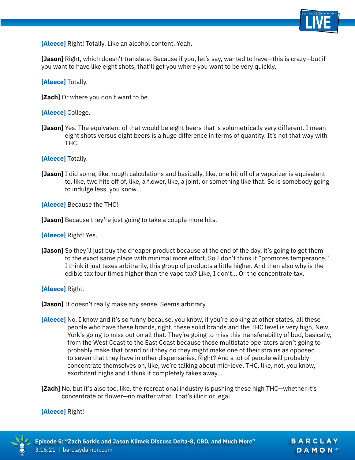

**[Jason]** Right, which doesn't translate. Because if you, let's say, wanted to have—this is crazy—but if you want to have like eight shots, that'll get you where you want to be very quickly.

**[Aleece]** Totally.

**[Zach]** Or where you don't want to be.

## **[Aleece]** College.

**[Jason]** Yes. The equivalent of that would be eight beers that is volumetrically very different. I mean eight shots versus eight beers is a huge difference in terms of quantity. It's not that way with THC.

**[Aleece]** Totally.

**[Jason]** I did some, like, rough calculations and basically, like, one hit off of a vaporizer is equivalent to, like, two hits off of, like, a flower, like, a joint, or something like that. So is somebody going to indulge less, you know...

**[Aleece]** Because the THC!

**[Jason]** Because they're just going to take a couple more hits.

**[Aleece]** Right! Yes.

**[Jason]** So they'll just buy the cheaper product because at the end of the day, it's going to get them to the exact same place with minimal more effort. So I don't think it "promotes temperance." I think it just taxes arbitrarily, this group of products a little higher. And then also why is the edible tax four times higher than the vape tax? Like, I don't... Or the concentrate tax.

**[Aleece]** Right.

**[Jason]** It doesn't really make any sense. Seems arbitrary.

- **[Aleece]** No, I know and it's so funny because, you know, if you're looking at other states, all these people who have these brands, right, these solid brands and the THC level is very high, New York's going to miss out on all that. They're going to miss this transferability of bud, basically, from the West Coast to the East Coast because those multistate operators aren't going to probably make that brand or if they do they might make one of their strains as opposed to seven that they have in other dispensaries. Right? And a lot of people will probably concentrate themselves on, like, we're talking about mid-level THC, like, not, you know, exorbitant highs and I think it completely takes away...
- **[Zach]** No, but it's also too, like, the recreational industry is pushing these high THC—whether it's concentrate or flower—no matter what. That's illicit or legal.

# **[Aleece]** Right!



BARCLAY DAMON<sup>LLP</sup>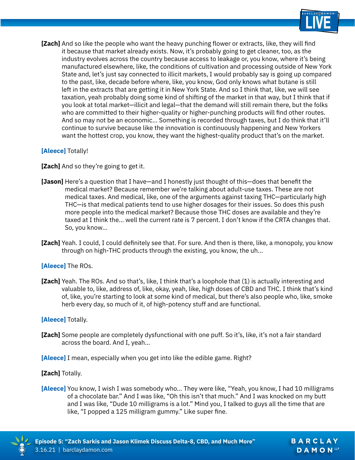

**[Zach]** And so like the people who want the heavy punching flower or extracts, like, they will find it because that market already exists. Now, it's probably going to get cleaner, too, as the industry evolves across the country because access to leakage or, you know, where it's being manufactured elsewhere, like, the conditions of cultivation and processing outside of New York State and, let's just say connected to illicit markets, I would probably say is going up compared to the past, like, decade before where, like, you know, God only knows what butane is still left in the extracts that are getting it in New York State. And so I think that, like, we will see taxation, yeah probably doing some kind of shifting of the market in that way, but I think that if you look at total market—illicit and legal—that the demand will still remain there, but the folks who are committed to their higher-quality or higher-punching products will find other routes. And so may not be an economic... Something is recorded through taxes, but I do think that it'll continue to survive because like the innovation is continuously happening and New Yorkers want the hottest crop, you know, they want the highest-quality product that's on the market.

## **[Aleece]** Totally!

**[Zach]** And so they're going to get it.

- **[Jason]** Here's a question that I have—and I honestly just thought of this—does that benefit the medical market? Because remember we're talking about adult-use taxes. These are not medical taxes. And medical, like, one of the arguments against taxing THC—particularly high THC—is that medical patients tend to use higher dosages for their issues. So does this push more people into the medical market? Because those THC doses are available and they're taxed at I think the... well the current rate is 7 percent. I don't know if the CRTA changes that. So, you know...
- **[Zach]** Yeah. I could, I could definitely see that. For sure. And then is there, like, a monopoly, you know through on high-THC products through the existing, you know, the uh...

## **[Aleece]** The ROs.

**[Zach]** Yeah. The ROs. And so that's, like, I think that's a loophole that (1) is actually interesting and valuable to, like, address of, like, okay, yeah, like, high doses of CBD and THC. I think that's kind of, like, you're starting to look at some kind of medical, but there's also people who, like, smoke herb every day, so much of it, of high-potency stuff and are functional.

## **[Aleece]** Totally.

[Zach] Some people are completely dysfunctional with one puff. So it's, like, it's not a fair standard across the board. And I, yeah...

**[Aleece]** I mean, especially when you get into like the edible game. Right?

## **[Zach]** Totally.

**[Aleece]** You know, I wish I was somebody who... They were like, "Yeah, you know, I had 10 milligrams of a chocolate bar." And I was like, "Oh this isn't that much." And I was knocked on my butt and I was like, "Dude 10 milligrams is a lot." Mind you, I talked to guys all the time that are like, "I popped a 125 milligram gummy." Like super fine.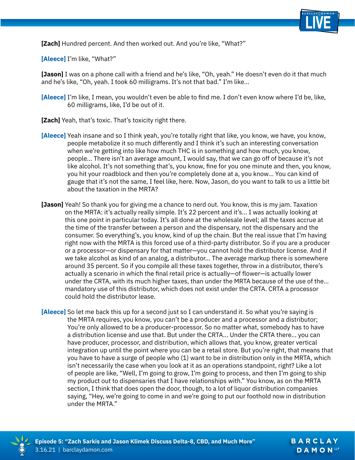

**[Zach]** Hundred percent. And then worked out. And you're like, "What?"

**[Aleece]** I'm like, "What?"

**[Jason]** I was on a phone call with a friend and he's like, "Oh, yeah." He doesn't even do it that much and he's like, "Oh, yeah. I took 60 milligrams. It's not that bad." I'm like...

- **[Aleece]** I'm like, I mean, you wouldn't even be able to find me. I don't even know where I'd be, like, 60 milligrams, like, I'd be out of it.
- **[Zach]** Yeah, that's toxic. That's toxicity right there.
- **[Aleece]** Yeah insane and so I think yeah, you're totally right that like, you know, we have, you know, people metabolize it so much differently and I think it's such an interesting conversation when we're getting into like how much THC is in something and how much, you know, people... There isn't an average amount, I would say, that we can go off of because it's not like alcohol. It's not something that's, you know, fine for you one minute and then, you know, you hit your roadblock and then you're completely done at a, you know... You can kind of gauge that it's not the same, I feel like, here. Now, Jason, do you want to talk to us a little bit about the taxation in the MRTA?
- **[Jason]** Yeah! So thank you for giving me a chance to nerd out. You know, this is my jam. Taxation on the MRTA: it's actually really simple. It's 22 percent and it's... I was actually looking at this one point in particular today. It's all done at the wholesale level; all the taxes accrue at the time of the transfer between a person and the dispensary, not the dispensary and the consumer. So everything's, you know, kind of up the chain. But the real issue that I'm having right now with the MRTA is this forced use of a third-party distributor. So if you are a producer or a processor—or dispensary for that matter—you cannot hold the distributor license. And if we take alcohol as kind of an analog, a distributor... The average markup there is somewhere around 35 percent. So if you compile all these taxes together, throw in a distributor, there's actually a scenario in which the final retail price is actually—of flower—is actually lower under the CRTA, with its much higher taxes, than under the MRTA because of the use of the... mandatory use of this distributor, which does not exist under the CRTA. CRTA a processor could hold the distributor lease.
- **[Aleece]** So let me back this up for a second just so I can understand it. So what you're saying is the MRTA requires, you know, you can't be a producer and a processor and a distributor; You're only allowed to be a producer-processor. So no matter what, somebody has to have a distribution license and use that. But under the CRTA... Under the CRTA there... you can have producer, processor, and distribution, which allows that, you know, greater vertical integration up until the point where you can be a retail store. But you're right, that means that you have to have a surge of people who (1) want to be in distribution only in the MRTA, which isn't necessarily the case when you look at it as an operations standpoint, right? Like a lot of people are like, "Well, I'm going to grow, I'm going to process, and then I'm going to ship my product out to dispensaries that I have relationships with." You know, as on the MRTA section, I think that does open the door, though, to a lot of liquor distribution companies saying, "Hey, we're going to come in and we're going to put our foothold now in distribution under the MRTA."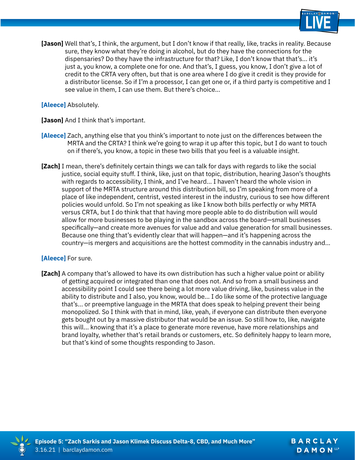

**[Jason]** Well that's, I think, the argument, but I don't know if that really, like, tracks in reality. Because sure, they know what they're doing in alcohol, but do they have the connections for the dispensaries? Do they have the infrastructure for that? Like, I don't know that that's... it's just a, you know, a complete one for one. And that's, I guess, you know, I don't give a lot of credit to the CRTA very often, but that is one area where I do give it credit is they provide for a distributor license. So if I'm a processor, I can get one or, if a third party is competitive and I see value in them, I can use them. But there's choice...

**[Aleece]** Absolutely.

**[Jason]** And I think that's important.

- **[Aleece]** Zach, anything else that you think's important to note just on the differences between the MRTA and the CRTA? I think we're going to wrap it up after this topic, but I do want to touch on if there's, you know, a topic in these two bills that you feel is a valuable insight.
- **[Zach]** I mean, there's definitely certain things we can talk for days with regards to like the social justice, social equity stuff. I think, like, just on that topic, distribution, hearing Jason's thoughts with regards to accessibility, I think, and I've heard... I haven't heard the whole vision in support of the MRTA structure around this distribution bill, so I'm speaking from more of a place of like independent, centrist, vested interest in the industry, curious to see how different policies would unfold. So I'm not speaking as like I know both bills perfectly or why MRTA versus CRTA, but I do think that that having more people able to do distribution will would allow for more businesses to be playing in the sandbox across the board—small businesses specifically—and create more avenues for value add and value generation for small businesses. Because one thing that's evidently clear that will happen—and it's happening across the country—is mergers and acquisitions are the hottest commodity in the cannabis industry and...

## **[Aleece]** For sure.

**[Zach]** A company that's allowed to have its own distribution has such a higher value point or ability of getting acquired or integrated than one that does not. And so from a small business and accessibility point I could see there being a lot more value driving, like, business value in the ability to distribute and I also, you know, would be... I do like some of the protective language that's... or preemptive language in the MRTA that does speak to helping prevent their being monopolized. So I think with that in mind, like, yeah, if everyone can distribute then everyone gets bought out by a massive distributor that would be an issue. So still how to, like, navigate this will... knowing that it's a place to generate more revenue, have more relationships and brand loyalty, whether that's retail brands or customers, etc. So definitely happy to learn more, but that's kind of some thoughts responding to Jason.

BARCLAY DAMON<sup>LLP</sup>